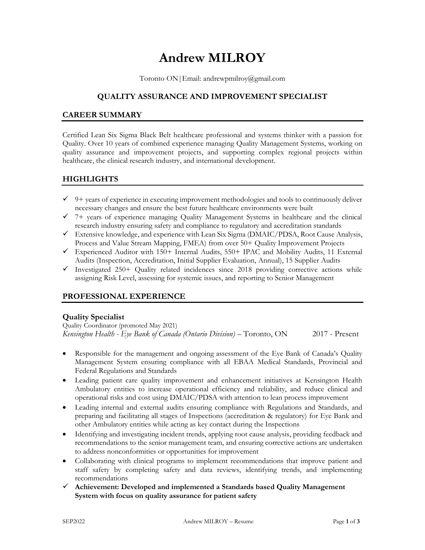# **Andrew MILROY**

Toronto ON|Email: andrewpmilroy@gmail.com

# **QUALITY ASSURANCE AND IMPROVEMENT SPECIALIST**

## **CAREER SUMMARY**

Certified Lean Six Sigma Black Belt healthcare professional and systems thinker with a passion for Quality. Over 10 years of combined experience managing Quality Management Systems, working on quality assurance and improvement projects, and supporting complex regional projects within healthcare, the clinical research industry, and international development.

# **HIGHLIGHTS**

- $\checkmark$  9+ years of experience in executing improvement methodologies and tools to continuously deliver necessary changes and ensure the best future healthcare environments were built
- ✓ 7+ years of experience managing Quality Management Systems in healthcare and the clinical research industry ensuring safety and compliance to regulatory and accreditation standards
- $\checkmark$  Extensive knowledge, and experience with Lean Six Sigma (DMAIC/PDSA, Root Cause Analysis, Process and Value Stream Mapping, FMEA) from over 50+ Quality Improvement Projects
- ✓ Experienced Auditor with 150+ Internal Audits, 550+ IPAC and Mobility Audits, 11 External Audits (Inspection, Accreditation, Initial Supplier Evaluation, Annual), 15 Supplier Audits
- $\checkmark$  Investigated 250+ Quality related incidences since 2018 providing corrective actions while assigning Risk Level, assessing for systemic issues, and reporting to Senior Management

# **PROFESSIONAL EXPERIENCE**

## **Quality Specialist**

Quality Coordinator (promoted May 2021) *Kensington Health - Eye Bank of Canada (Ontario Division)* – Toronto, ON 2017 - Present

- Responsible for the management and ongoing assessment of the Eye Bank of Canada's Quality Management System ensuring compliance with all EBAA Medical Standards, Provincial and Federal Regulations and Standards
- Leading patient care quality improvement and enhancement initiatives at Kensington Health Ambulatory entities to increase operational efficiency and reliability, and reduce clinical and operational risks and cost using DMAIC/PDSA with attention to lean process improvement
- Leading internal and external audits ensuring compliance with Regulations and Standards, and preparing and facilitating all stages of Inspections (accreditation & regulatory) for Eye Bank and other Ambulatory entities while acting as key contact during the Inspections
- Identifying and investigating incident trends, applying root cause analysis, providing feedback and recommendations to the senior management team, and ensuring corrective actions are undertaken to address nonconformities or opportunities for improvement
- Collaborating with clinical programs to implement recommendations that improve patient and staff safety by completing safety and data reviews, identifying trends, and implementing recommendations
- ✓ **Achievement: Developed and implemented a Standards based Quality Management System with focus on quality assurance for patient safety**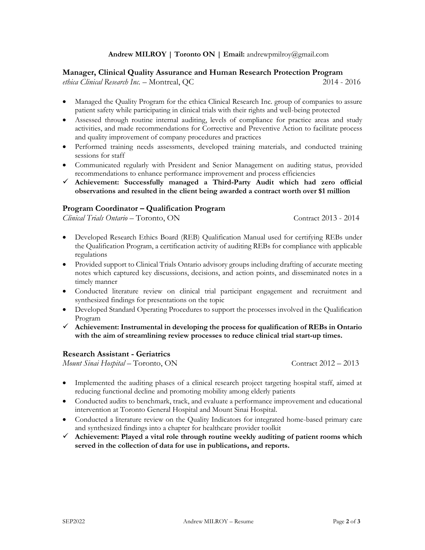#### **Andrew MILROY | Toronto ON | Email:** andrewpmilroy@gmail.com

#### **Manager, Clinical Quality Assurance and Human Research Protection Program**

*ethica Clinical Research Inc.* – Montreal, QC 2014 - 2016

- Managed the Quality Program for the ethica Clinical Research Inc. group of companies to assure patient safety while participating in clinical trials with their rights and well-being protected
- Assessed through routine internal auditing, levels of compliance for practice areas and study activities, and made recommendations for Corrective and Preventive Action to facilitate process and quality improvement of company procedures and practices
- Performed training needs assessments, developed training materials, and conducted training sessions for staff
- Communicated regularly with President and Senior Management on auditing status, provided recommendations to enhance performance improvement and process efficiencies
- ✓ **Achievement: Successfully managed a Third-Party Audit which had zero official observations and resulted in the client being awarded a contract worth over \$1 million**

#### **Program Coordinator – Qualification Program**

*Clinical Trials Ontario* – Toronto, ON Contract 2013 - 2014

- Developed Research Ethics Board (REB) Qualification Manual used for certifying REBs under the Qualification Program, a certification activity of auditing REBs for compliance with applicable regulations
- Provided support to Clinical Trials Ontario advisory groups including drafting of accurate meeting notes which captured key discussions, decisions, and action points, and disseminated notes in a timely manner
- Conducted literature review on clinical trial participant engagement and recruitment and synthesized findings for presentations on the topic
- Developed Standard Operating Procedures to support the processes involved in the Qualification Program
- ✓ **Achievement: Instrumental in developing the process for qualification of REBs in Ontario with the aim of streamlining review processes to reduce clinical trial start-up times.**

#### **Research Assistant - Geriatrics**

*Mount Sinai Hospital* – Toronto, ON Contract 2012 – 2013

- Implemented the auditing phases of a clinical research project targeting hospital staff, aimed at reducing functional decline and promoting mobility among elderly patients
- Conducted audits to benchmark, track, and evaluate a performance improvement and educational intervention at Toronto General Hospital and Mount Sinai Hospital.
- Conducted a literature review on the Quality Indicators for integrated home-based primary care and synthesized findings into a chapter for healthcare provider toolkit
- ✓ **Achievement: Played a vital role through routine weekly auditing of patient rooms which served in the collection of data for use in publications, and reports.**